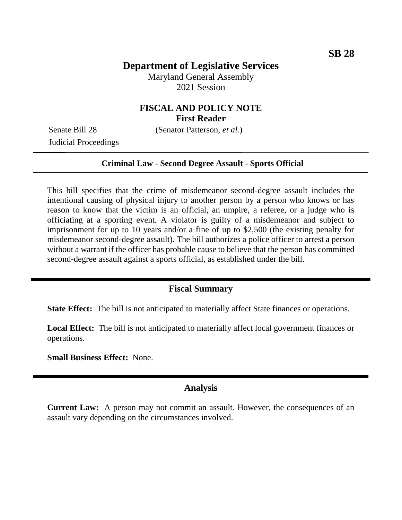# **Department of Legislative Services**

Maryland General Assembly 2021 Session

# **FISCAL AND POLICY NOTE First Reader**

Judicial Proceedings

Senate Bill 28 (Senator Patterson, *et al.*)

#### **Criminal Law - Second Degree Assault - Sports Official**

This bill specifies that the crime of misdemeanor second-degree assault includes the intentional causing of physical injury to another person by a person who knows or has reason to know that the victim is an official, an umpire, a referee, or a judge who is officiating at a sporting event. A violator is guilty of a misdemeanor and subject to imprisonment for up to 10 years and/or a fine of up to \$2,500 (the existing penalty for misdemeanor second-degree assault). The bill authorizes a police officer to arrest a person without a warrant if the officer has probable cause to believe that the person has committed second-degree assault against a sports official, as established under the bill.

#### **Fiscal Summary**

**State Effect:** The bill is not anticipated to materially affect State finances or operations.

**Local Effect:** The bill is not anticipated to materially affect local government finances or operations.

**Small Business Effect:** None.

#### **Analysis**

**Current Law:** A person may not commit an assault. However, the consequences of an assault vary depending on the circumstances involved.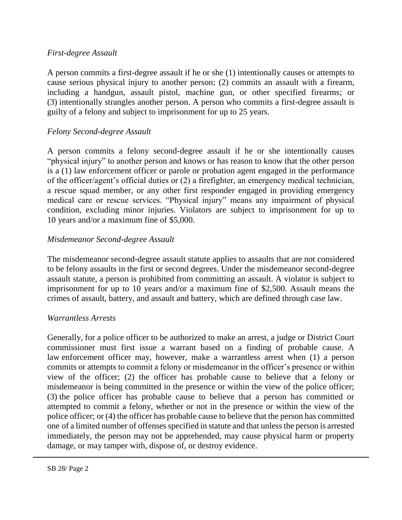### *First-degree Assault*

A person commits a first-degree assault if he or she (1) intentionally causes or attempts to cause serious physical injury to another person; (2) commits an assault with a firearm, including a handgun, assault pistol, machine gun, or other specified firearms; or (3) intentionally strangles another person. A person who commits a first-degree assault is guilty of a felony and subject to imprisonment for up to 25 years.

# *Felony Second-degree Assault*

A person commits a felony second-degree assault if he or she intentionally causes "physical injury" to another person and knows or has reason to know that the other person is a (1) law enforcement officer or parole or probation agent engaged in the performance of the officer/agent's official duties or (2) a firefighter, an emergency medical technician, a rescue squad member, or any other first responder engaged in providing emergency medical care or rescue services. "Physical injury" means any impairment of physical condition, excluding minor injuries. Violators are subject to imprisonment for up to 10 years and/or a maximum fine of \$5,000.

# *Misdemeanor Second-degree Assault*

The misdemeanor second-degree assault statute applies to assaults that are not considered to be felony assaults in the first or second degrees. Under the misdemeanor second-degree assault statute, a person is prohibited from committing an assault. A violator is subject to imprisonment for up to 10 years and/or a maximum fine of \$2,500. Assault means the crimes of assault, battery, and assault and battery, which are defined through case law.

### *Warrantless Arrests*

Generally, for a police officer to be authorized to make an arrest, a judge or District Court commissioner must first issue a warrant based on a finding of probable cause. A law enforcement officer may, however, make a warrantless arrest when (1) a person commits or attempts to commit a felony or misdemeanor in the officer's presence or within view of the officer; (2) the officer has probable cause to believe that a felony or misdemeanor is being committed in the presence or within the view of the police officer; (3) the police officer has probable cause to believe that a person has committed or attempted to commit a felony, whether or not in the presence or within the view of the police officer; or (4) the officer has probable cause to believe that the person has committed one of a limited number of offenses specified in statute and that unless the person is arrested immediately, the person may not be apprehended, may cause physical harm or property damage, or may tamper with, dispose of, or destroy evidence.